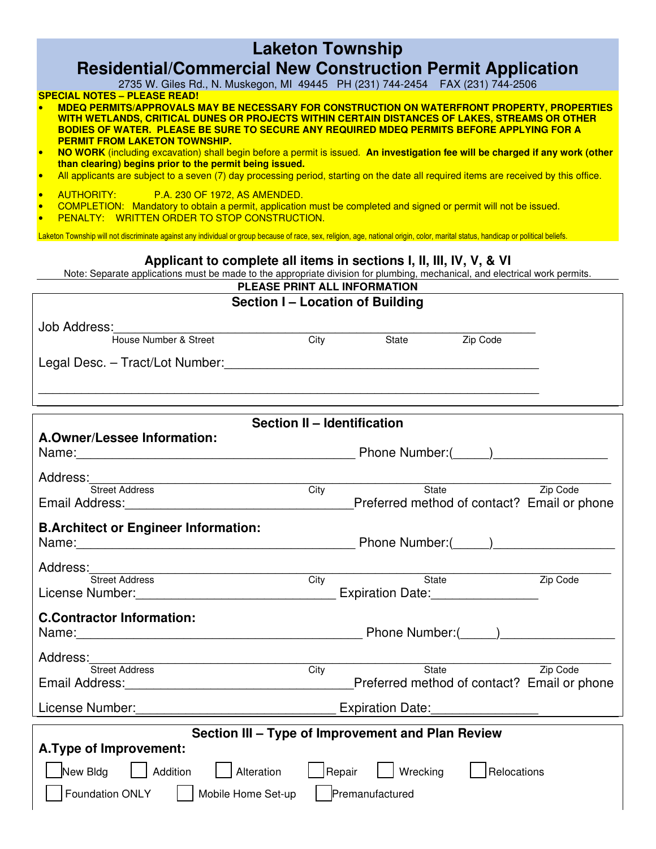# **Laketon Township**

### **Residential/Commercial New Construction Permit Application**

2735 W. Giles Rd., N. Muskegon, MI 49445 PH (231) 744-2454 FAX (231) 744-2506

**SPECIAL NOTES – PLEASE READ!** 

- **MDEQ PERMITS/APPROVALS MAY BE NECESSARY FOR CONSTRUCTION ON WATERFRONT PROPERTY, PROPERTIES WITH WETLANDS, CRITICAL DUNES OR PROJECTS WITHIN CERTAIN DISTANCES OF LAKES, STREAMS OR OTHER BODIES OF WATER. PLEASE BE SURE TO SECURE ANY REQUIRED MDEQ PERMITS BEFORE APPLYING FOR A PERMIT FROM LAKETON TOWNSHIP.**
- **NO WORK** (including excavation) shall begin before a permit is issued. **An investigation fee will be charged if any work (other than clearing) begins prior to the permit being issued.**
- All applicants are subject to a seven (7) day processing period, starting on the date all required items are received by this office.
- AUTHORITY: P.A. 230 OF 1972, AS AMENDED.
- COMPLETION: Mandatory to obtain a permit, application must be completed and signed or permit will not be issued.
- PENALTY: WRITTEN ORDER TO STOP CONSTRUCTION.

Laketon Township will not discriminate against any individual or group because of race, sex, religion, age, national origin, color, marital status, handicap or political beliefs.

#### **Applicant to complete all items in sections I, II, III, IV, V, & VI**

Note: Separate applications must be made to the appropriate division for plumbing, mechanical, and electrical work permits.

|                                                                                                                                                                                                                                                              | Note: Separate applications must be made to the appropriate division for plumbing, mechanical, and electrical work permits.                                                                                                   |  |  |  |  |  |
|--------------------------------------------------------------------------------------------------------------------------------------------------------------------------------------------------------------------------------------------------------------|-------------------------------------------------------------------------------------------------------------------------------------------------------------------------------------------------------------------------------|--|--|--|--|--|
| PLEASE PRINT ALL INFORMATION<br>Section I - Location of Building                                                                                                                                                                                             |                                                                                                                                                                                                                               |  |  |  |  |  |
| Job Address:                                                                                                                                                                                                                                                 |                                                                                                                                                                                                                               |  |  |  |  |  |
| House Number & Street                                                                                                                                                                                                                                        | City<br><b>State</b><br>Zip Code                                                                                                                                                                                              |  |  |  |  |  |
|                                                                                                                                                                                                                                                              |                                                                                                                                                                                                                               |  |  |  |  |  |
|                                                                                                                                                                                                                                                              | Section II - Identification                                                                                                                                                                                                   |  |  |  |  |  |
| A.Owner/Lessee Information:                                                                                                                                                                                                                                  |                                                                                                                                                                                                                               |  |  |  |  |  |
| Address:<br><u> 1989 - Johann Barbara, martxa al III-lea (h. 1974).</u>                                                                                                                                                                                      |                                                                                                                                                                                                                               |  |  |  |  |  |
| Street Address<br>Email Address:                                                                                                                                                                                                                             | City<br>Zip Code<br>State<br>Preferred method of contact? Email or phone                                                                                                                                                      |  |  |  |  |  |
| <b>B.Architect or Engineer Information:</b>                                                                                                                                                                                                                  | Phone Number: ( )                                                                                                                                                                                                             |  |  |  |  |  |
| Address:<br><b>Street Address</b>                                                                                                                                                                                                                            |                                                                                                                                                                                                                               |  |  |  |  |  |
|                                                                                                                                                                                                                                                              | City<br>Zip Code<br>State<br>Expiration Date:                                                                                                                                                                                 |  |  |  |  |  |
| <b>C.Contractor Information:</b>                                                                                                                                                                                                                             | Name: Name: Name: Name: Name: Name: Name: Name: Name: Name: Name: Name: Name: Name: Name: Name: Name: Name: Name: Name: Name: Name: Name: Name: Name: Name: Name: Name: Name: Name: Name: Name: Name: Name: Name: Name: Name: |  |  |  |  |  |
|                                                                                                                                                                                                                                                              |                                                                                                                                                                                                                               |  |  |  |  |  |
| Address:<br>Street Address<br>Email Address: Management Contract Contract Contract Contract Contract Contract Contract Contract Contract Contract Contract Contract Contract Contract Contract Contract Contract Contract Contract Contract Contract Contrac | $\overline{C}$ ity<br>State <b>Zip Code</b><br>Preferred method of contact? Email or phone                                                                                                                                    |  |  |  |  |  |
| License Number:                                                                                                                                                                                                                                              | Expiration Date: <u>Campana and Tana</u>                                                                                                                                                                                      |  |  |  |  |  |
| A. Type of Improvement:                                                                                                                                                                                                                                      | Section III - Type of Improvement and Plan Review                                                                                                                                                                             |  |  |  |  |  |
| New Bldg<br>Addition                                                                                                                                                                                                                                         | Alteration<br>Repair<br>Relocations<br>Wrecking                                                                                                                                                                               |  |  |  |  |  |
| Foundation ONLY<br>Mobile Home Set-up                                                                                                                                                                                                                        | Premanufactured                                                                                                                                                                                                               |  |  |  |  |  |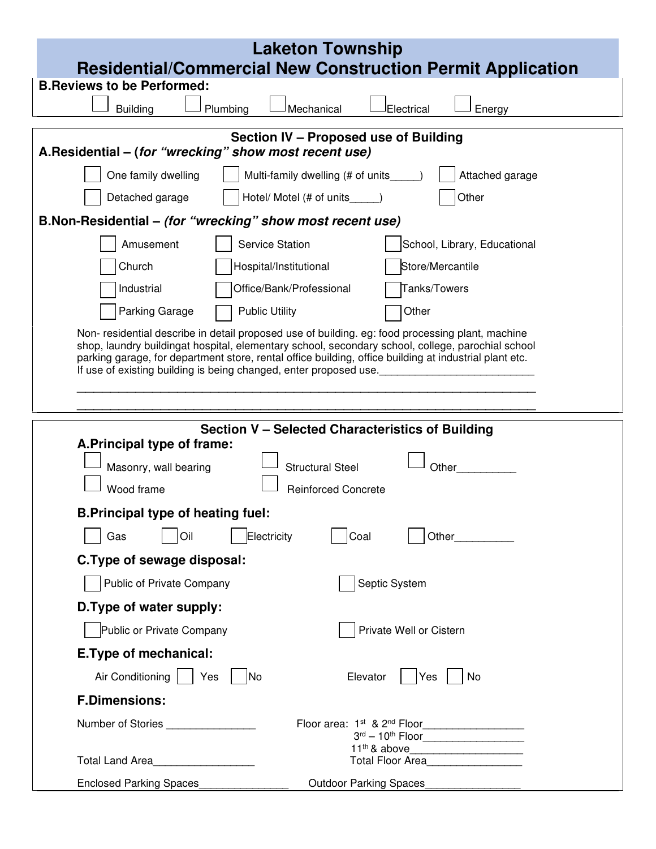| <b>Laketon Township</b>                                                                                                                                                                                                                                                                                                                                                             |  |  |  |  |  |
|-------------------------------------------------------------------------------------------------------------------------------------------------------------------------------------------------------------------------------------------------------------------------------------------------------------------------------------------------------------------------------------|--|--|--|--|--|
| <b>Residential/Commercial New Construction Permit Application</b><br><b>B.Reviews to be Performed:</b>                                                                                                                                                                                                                                                                              |  |  |  |  |  |
| Plumbing<br><b>Building</b><br>Mechanical<br>Electrical<br>Energy                                                                                                                                                                                                                                                                                                                   |  |  |  |  |  |
|                                                                                                                                                                                                                                                                                                                                                                                     |  |  |  |  |  |
| Section IV - Proposed use of Building<br>A.Residential – (for "wrecking" show most recent use)                                                                                                                                                                                                                                                                                      |  |  |  |  |  |
| One family dwelling<br>Multi-family dwelling (# of units _____)<br>Attached garage                                                                                                                                                                                                                                                                                                  |  |  |  |  |  |
| Other<br>Hotel/ Motel (# of units _____)<br>Detached garage                                                                                                                                                                                                                                                                                                                         |  |  |  |  |  |
| B.Non-Residential – (for "wrecking" show most recent use)                                                                                                                                                                                                                                                                                                                           |  |  |  |  |  |
| Amusement<br><b>Service Station</b><br>School, Library, Educational                                                                                                                                                                                                                                                                                                                 |  |  |  |  |  |
| Church<br>Hospital/Institutional<br>Store/Mercantile                                                                                                                                                                                                                                                                                                                                |  |  |  |  |  |
| Industrial<br>Office/Bank/Professional<br>Tanks/Towers                                                                                                                                                                                                                                                                                                                              |  |  |  |  |  |
| Other<br>Parking Garage<br><b>Public Utility</b>                                                                                                                                                                                                                                                                                                                                    |  |  |  |  |  |
| Non-residential describe in detail proposed use of building. eg: food processing plant, machine<br>shop, laundry buildingat hospital, elementary school, secondary school, college, parochial school<br>parking garage, for department store, rental office building, office building at industrial plant etc.<br>If use of existing building is being changed, enter proposed use. |  |  |  |  |  |
| Section V - Selected Characteristics of Building<br>A.Principal type of frame:                                                                                                                                                                                                                                                                                                      |  |  |  |  |  |
|                                                                                                                                                                                                                                                                                                                                                                                     |  |  |  |  |  |
|                                                                                                                                                                                                                                                                                                                                                                                     |  |  |  |  |  |
| <b>Structural Steel</b><br>Masonry, wall bearing<br>Other<br>Wood frame<br><b>Reinforced Concrete</b>                                                                                                                                                                                                                                                                               |  |  |  |  |  |
| <b>B.Principal type of heating fuel:</b>                                                                                                                                                                                                                                                                                                                                            |  |  |  |  |  |
| Gas<br>Oil<br>Electricity<br>Coal<br>Other                                                                                                                                                                                                                                                                                                                                          |  |  |  |  |  |
| C. Type of sewage disposal:                                                                                                                                                                                                                                                                                                                                                         |  |  |  |  |  |
| Public of Private Company<br>Septic System                                                                                                                                                                                                                                                                                                                                          |  |  |  |  |  |
| D. Type of water supply:                                                                                                                                                                                                                                                                                                                                                            |  |  |  |  |  |
| Public or Private Company<br>Private Well or Cistern                                                                                                                                                                                                                                                                                                                                |  |  |  |  |  |
| E. Type of mechanical:                                                                                                                                                                                                                                                                                                                                                              |  |  |  |  |  |
| Air Conditioning<br>Elevator<br>Yes<br>Yes<br>No<br> No                                                                                                                                                                                                                                                                                                                             |  |  |  |  |  |
| <b>F.Dimensions:</b>                                                                                                                                                                                                                                                                                                                                                                |  |  |  |  |  |
| Number of Stories ________________<br>Floor area: 1 <sup>st</sup> & 2 <sup>nd</sup> Floor_____________________                                                                                                                                                                                                                                                                      |  |  |  |  |  |
| $3^{\text{rd}} - 10^{\text{th}}$ Floor<br><b>Total Land Area</b><br>Total Floor Area                                                                                                                                                                                                                                                                                                |  |  |  |  |  |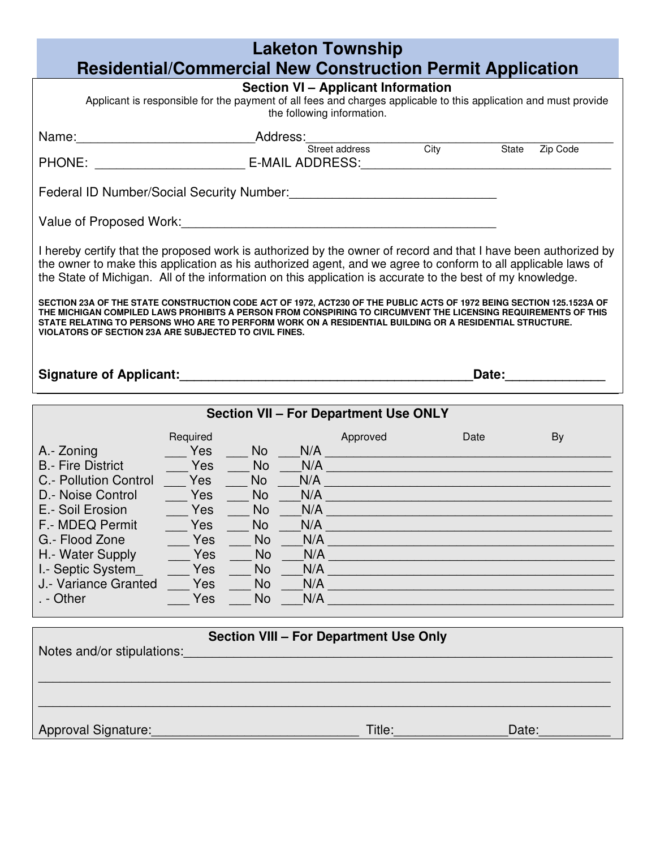| <b>Laketon Township</b>                                                                                                                                                                                                                                                                                                                                                                                            |                                              |                                                                                                          |            |                                               |      |                                                                                                                                                                                                                                |  |
|--------------------------------------------------------------------------------------------------------------------------------------------------------------------------------------------------------------------------------------------------------------------------------------------------------------------------------------------------------------------------------------------------------------------|----------------------------------------------|----------------------------------------------------------------------------------------------------------|------------|-----------------------------------------------|------|--------------------------------------------------------------------------------------------------------------------------------------------------------------------------------------------------------------------------------|--|
| <b>Residential/Commercial New Construction Permit Application</b><br><b>Section VI - Applicant Information</b>                                                                                                                                                                                                                                                                                                     |                                              |                                                                                                          |            |                                               |      |                                                                                                                                                                                                                                |  |
| Applicant is responsible for the payment of all fees and charges applicable to this application and must provide<br>the following information.                                                                                                                                                                                                                                                                     |                                              |                                                                                                          |            |                                               |      |                                                                                                                                                                                                                                |  |
| Name: Address: Address: Street address City State                                                                                                                                                                                                                                                                                                                                                                  |                                              |                                                                                                          |            |                                               |      |                                                                                                                                                                                                                                |  |
|                                                                                                                                                                                                                                                                                                                                                                                                                    |                                              |                                                                                                          |            |                                               |      | Zip Code                                                                                                                                                                                                                       |  |
| Federal ID Number/Social Security Number:<br>Letter and the second security Number:                                                                                                                                                                                                                                                                                                                                |                                              |                                                                                                          |            |                                               |      |                                                                                                                                                                                                                                |  |
|                                                                                                                                                                                                                                                                                                                                                                                                                    |                                              |                                                                                                          |            |                                               |      |                                                                                                                                                                                                                                |  |
| I hereby certify that the proposed work is authorized by the owner of record and that I have been authorized by<br>the owner to make this application as his authorized agent, and we agree to conform to all applicable laws of<br>the State of Michigan. All of the information on this application is accurate to the best of my knowledge.                                                                     |                                              |                                                                                                          |            |                                               |      |                                                                                                                                                                                                                                |  |
| SECTION 23A OF THE STATE CONSTRUCTION CODE ACT OF 1972, ACT230 OF THE PUBLIC ACTS OF 1972 BEING SECTION 125.1523A OF<br>THE MICHIGAN COMPILED LAWS PROHIBITS A PERSON FROM CONSPIRING TO CIRCUMVENT THE LICENSING REQUIREMENTS OF THIS<br>STATE RELATING TO PERSONS WHO ARE TO PERFORM WORK ON A RESIDENTIAL BUILDING OR A RESIDENTIAL STRUCTURE.<br><b>VIOLATORS OF SECTION 23A ARE SUBJECTED TO CIVIL FINES.</b> |                                              |                                                                                                          |            |                                               |      |                                                                                                                                                                                                                                |  |
| Signature of Applicant: Signature of Applicant:                                                                                                                                                                                                                                                                                                                                                                    |                                              |                                                                                                          |            |                                               |      | Date: the contract of the contract of the contract of the contract of the contract of the contract of the contract of the contract of the contract of the contract of the contract of the contract of the contract of the cont |  |
|                                                                                                                                                                                                                                                                                                                                                                                                                    | <b>Section VII - For Department Use ONLY</b> |                                                                                                          |            |                                               |      |                                                                                                                                                                                                                                |  |
|                                                                                                                                                                                                                                                                                                                                                                                                                    |                                              |                                                                                                          |            |                                               |      |                                                                                                                                                                                                                                |  |
|                                                                                                                                                                                                                                                                                                                                                                                                                    | Required                                     |                                                                                                          |            | Approved                                      | Date | By                                                                                                                                                                                                                             |  |
| A.- Zoning                                                                                                                                                                                                                                                                                                                                                                                                         | <b>Parage Yes</b>                            | <b>San No. 19 No. 19 No. 19 No. 19 No. 19 No. 19 No. 19 No. 19 No. 19 No. 19 No. 19 No. 19 No. 19 No</b> |            |                                               | N/A  |                                                                                                                                                                                                                                |  |
| <b>B.- Fire District</b>                                                                                                                                                                                                                                                                                                                                                                                           | Yes                                          | No l                                                                                                     |            |                                               |      | N/A                                                                                                                                                                                                                            |  |
| C.- Pollution Control                                                                                                                                                                                                                                                                                                                                                                                              |                                              | No                                                                                                       |            |                                               | N/A  |                                                                                                                                                                                                                                |  |
| D.- Noise Control                                                                                                                                                                                                                                                                                                                                                                                                  | <b>Example 19 Yes</b>                        | <b>No</b>                                                                                                |            |                                               | N/A  |                                                                                                                                                                                                                                |  |
| E.- Soil Erosion                                                                                                                                                                                                                                                                                                                                                                                                   | Yes                                          | <b>No</b>                                                                                                | N/A        |                                               |      |                                                                                                                                                                                                                                |  |
| F.- MDEQ Permit<br>G.- Flood Zone                                                                                                                                                                                                                                                                                                                                                                                  | Yes<br>Yes                                   | <b>No</b><br><b>No</b>                                                                                   | N/A        |                                               |      |                                                                                                                                                                                                                                |  |
| H.- Water Supply                                                                                                                                                                                                                                                                                                                                                                                                   | Yes                                          | <b>No</b>                                                                                                | N/A<br>N/A |                                               |      |                                                                                                                                                                                                                                |  |
|                                                                                                                                                                                                                                                                                                                                                                                                                    | Yes                                          | No                                                                                                       | N/A        |                                               |      |                                                                                                                                                                                                                                |  |
| I.- Septic System_<br>J.- Variance Granted                                                                                                                                                                                                                                                                                                                                                                         | Yes                                          | No                                                                                                       | N/A        |                                               |      |                                                                                                                                                                                                                                |  |
| . - Other                                                                                                                                                                                                                                                                                                                                                                                                          | Yes                                          | <b>No</b>                                                                                                | N/A        |                                               |      |                                                                                                                                                                                                                                |  |
|                                                                                                                                                                                                                                                                                                                                                                                                                    |                                              |                                                                                                          |            | <b>Section VIII - For Department Use Only</b> |      |                                                                                                                                                                                                                                |  |
| Notes and/or stipulations:                                                                                                                                                                                                                                                                                                                                                                                         |                                              |                                                                                                          |            |                                               |      |                                                                                                                                                                                                                                |  |
|                                                                                                                                                                                                                                                                                                                                                                                                                    |                                              |                                                                                                          |            |                                               |      |                                                                                                                                                                                                                                |  |
| Approval Signature:                                                                                                                                                                                                                                                                                                                                                                                                |                                              |                                                                                                          |            | Title:                                        |      | Date:                                                                                                                                                                                                                          |  |